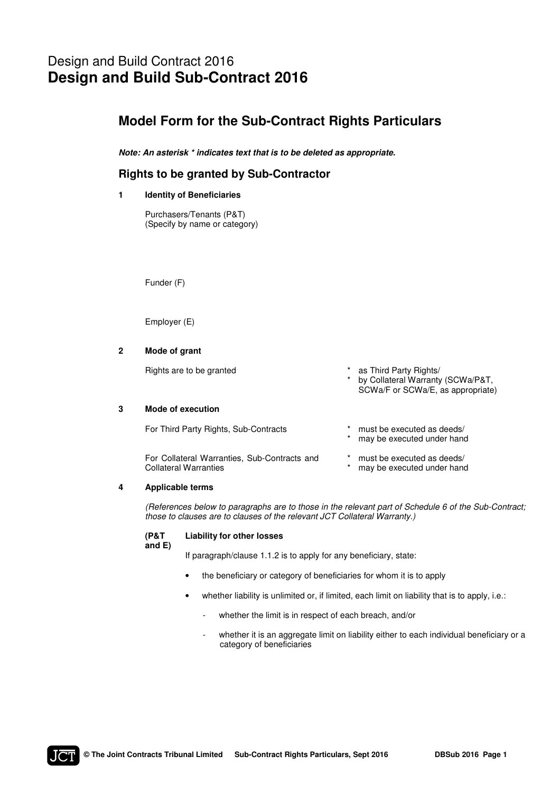# Design and Build Contract 2016 **Design and Build Sub-Contract 2016**

## **Model Form for the Sub-Contract Rights Particulars**

*Note: An asterisk \* indicates text that is to be deleted as appropriate.* 

### **Rights to be granted by Sub-Contractor**

#### **1 Identity of Beneficiaries**

Purchasers/Tenants (P&T) (Specify by name or category)

Funder (F)

Employer (E)

#### **2 Mode of grant**

| Rights are to be granted              | as Third Party Rights/<br>* by Collateral Warranty (SCWa/P&T,<br>SCWa/F or SCWa/E, as appropriate) |
|---------------------------------------|----------------------------------------------------------------------------------------------------|
| Mode of execution                     |                                                                                                    |
| For Third Party Rights, Sub-Contracts | must be executed as deeds/<br>may be executed under hand                                           |

 For Collateral Warranties, Sub-Contracts and Collateral Warranties \* must be executed as deeds/ \* may be executed under hand

#### **4 Applicable terms**

(References below to paragraphs are to those in the relevant part of Schedule 6 of the Sub-Contract; those to clauses are to clauses of the relevant JCT Collateral Warranty.)

#### **(P&T Liability for other losses**

**and E)** 

If paragraph/clause 1.1.2 is to apply for any beneficiary, state:

- the beneficiary or category of beneficiaries for whom it is to apply
- whether liability is unlimited or, if limited, each limit on liability that is to apply, i.e.:
	- whether the limit is in respect of each breach, and/or
	- whether it is an aggregate limit on liability either to each individual beneficiary or a category of beneficiaries